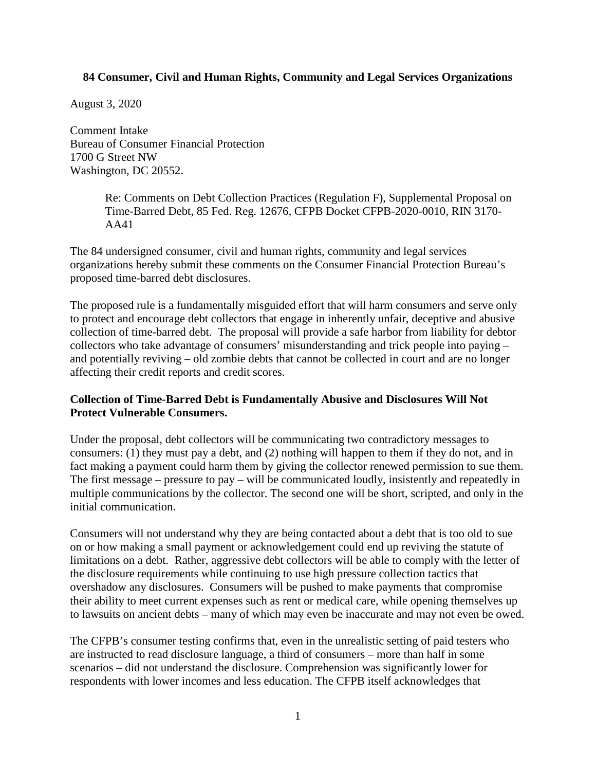## **84 Consumer, Civil and Human Rights, Community and Legal Services Organizations**

August 3, 2020

Comment Intake Bureau of Consumer Financial Protection 1700 G Street NW Washington, DC 20552.

> Re: Comments on Debt Collection Practices (Regulation F), Supplemental Proposal on Time-Barred Debt, 85 Fed. Reg. 12676, CFPB Docket CFPB-2020-0010, RIN 3170- AA41

The 84 undersigned consumer, civil and human rights, community and legal services organizations hereby submit these comments on the Consumer Financial Protection Bureau's proposed time-barred debt disclosures.

The proposed rule is a fundamentally misguided effort that will harm consumers and serve only to protect and encourage debt collectors that engage in inherently unfair, deceptive and abusive collection of time-barred debt. The proposal will provide a safe harbor from liability for debtor collectors who take advantage of consumers' misunderstanding and trick people into paying – and potentially reviving – old zombie debts that cannot be collected in court and are no longer affecting their credit reports and credit scores.

## **Collection of Time-Barred Debt is Fundamentally Abusive and Disclosures Will Not Protect Vulnerable Consumers.**

Under the proposal, debt collectors will be communicating two contradictory messages to consumers: (1) they must pay a debt, and (2) nothing will happen to them if they do not, and in fact making a payment could harm them by giving the collector renewed permission to sue them. The first message – pressure to pay – will be communicated loudly, insistently and repeatedly in multiple communications by the collector. The second one will be short, scripted, and only in the initial communication.

Consumers will not understand why they are being contacted about a debt that is too old to sue on or how making a small payment or acknowledgement could end up reviving the statute of limitations on a debt. Rather, aggressive debt collectors will be able to comply with the letter of the disclosure requirements while continuing to use high pressure collection tactics that overshadow any disclosures. Consumers will be pushed to make payments that compromise their ability to meet current expenses such as rent or medical care, while opening themselves up to lawsuits on ancient debts – many of which may even be inaccurate and may not even be owed.

The CFPB's consumer testing confirms that, even in the unrealistic setting of paid testers who are instructed to read disclosure language, a third of consumers – more than half in some scenarios – did not understand the disclosure. Comprehension was significantly lower for respondents with lower incomes and less education. The CFPB itself acknowledges that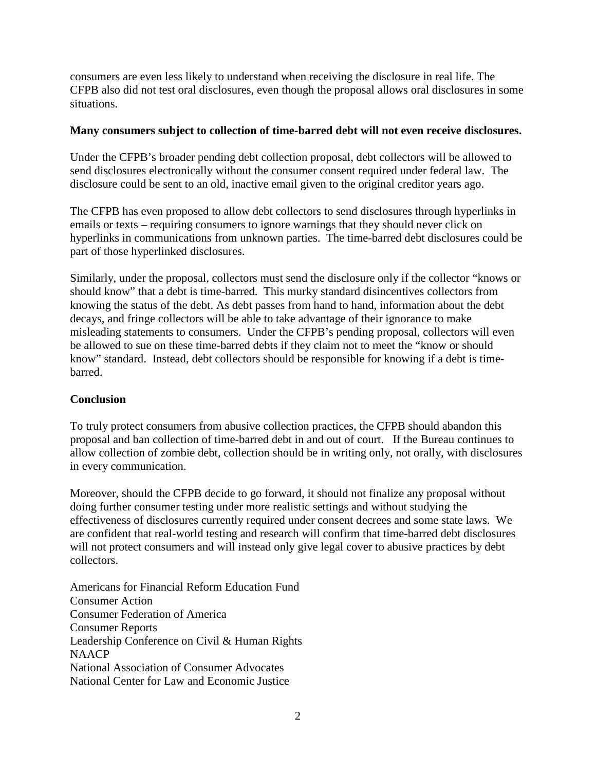consumers are even less likely to understand when receiving the disclosure in real life. The CFPB also did not test oral disclosures, even though the proposal allows oral disclosures in some situations.

## **Many consumers subject to collection of time-barred debt will not even receive disclosures.**

Under the CFPB's broader pending debt collection proposal, debt collectors will be allowed to send disclosures electronically without the consumer consent required under federal law. The disclosure could be sent to an old, inactive email given to the original creditor years ago.

The CFPB has even proposed to allow debt collectors to send disclosures through hyperlinks in emails or texts – requiring consumers to ignore warnings that they should never click on hyperlinks in communications from unknown parties. The time-barred debt disclosures could be part of those hyperlinked disclosures.

Similarly, under the proposal, collectors must send the disclosure only if the collector "knows or should know" that a debt is time-barred. This murky standard disincentives collectors from knowing the status of the debt. As debt passes from hand to hand, information about the debt decays, and fringe collectors will be able to take advantage of their ignorance to make misleading statements to consumers. Under the CFPB's pending proposal, collectors will even be allowed to sue on these time-barred debts if they claim not to meet the "know or should know" standard. Instead, debt collectors should be responsible for knowing if a debt is timebarred.

## **Conclusion**

To truly protect consumers from abusive collection practices, the CFPB should abandon this proposal and ban collection of time-barred debt in and out of court. If the Bureau continues to allow collection of zombie debt, collection should be in writing only, not orally, with disclosures in every communication.

Moreover, should the CFPB decide to go forward, it should not finalize any proposal without doing further consumer testing under more realistic settings and without studying the effectiveness of disclosures currently required under consent decrees and some state laws. We are confident that real-world testing and research will confirm that time-barred debt disclosures will not protect consumers and will instead only give legal cover to abusive practices by debt collectors.

Americans for Financial Reform Education Fund Consumer Action Consumer Federation of America Consumer Reports Leadership Conference on Civil & Human Rights **NAACP** National Association of Consumer Advocates National Center for Law and Economic Justice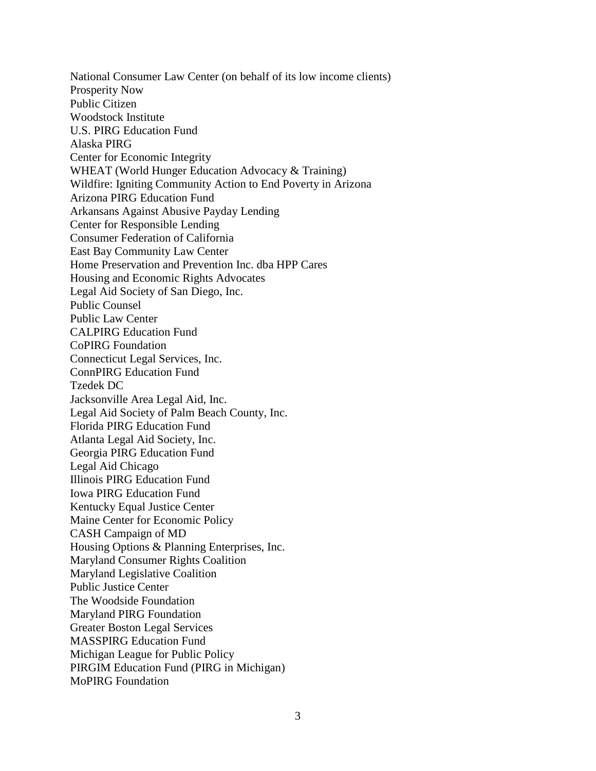National Consumer Law Center (on behalf of its low income clients) Prosperity Now Public Citizen Woodstock Institute U.S. PIRG Education Fund Alaska PIRG Center for Economic Integrity WHEAT (World Hunger Education Advocacy & Training) Wildfire: Igniting Community Action to End Poverty in Arizona Arizona PIRG Education Fund Arkansans Against Abusive Payday Lending Center for Responsible Lending Consumer Federation of California East Bay Community Law Center Home Preservation and Prevention Inc. dba HPP Cares Housing and Economic Rights Advocates Legal Aid Society of San Diego, Inc. Public Counsel Public Law Center CALPIRG Education Fund CoPIRG Foundation Connecticut Legal Services, Inc. ConnPIRG Education Fund Tzedek DC Jacksonville Area Legal Aid, Inc. Legal Aid Society of Palm Beach County, Inc. Florida PIRG Education Fund Atlanta Legal Aid Society, Inc. Georgia PIRG Education Fund Legal Aid Chicago Illinois PIRG Education Fund Iowa PIRG Education Fund Kentucky Equal Justice Center Maine Center for Economic Policy CASH Campaign of MD Housing Options & Planning Enterprises, Inc. Maryland Consumer Rights Coalition Maryland Legislative Coalition Public Justice Center The Woodside Foundation Maryland PIRG Foundation Greater Boston Legal Services MASSPIRG Education Fund Michigan League for Public Policy PIRGIM Education Fund (PIRG in Michigan) MoPIRG Foundation